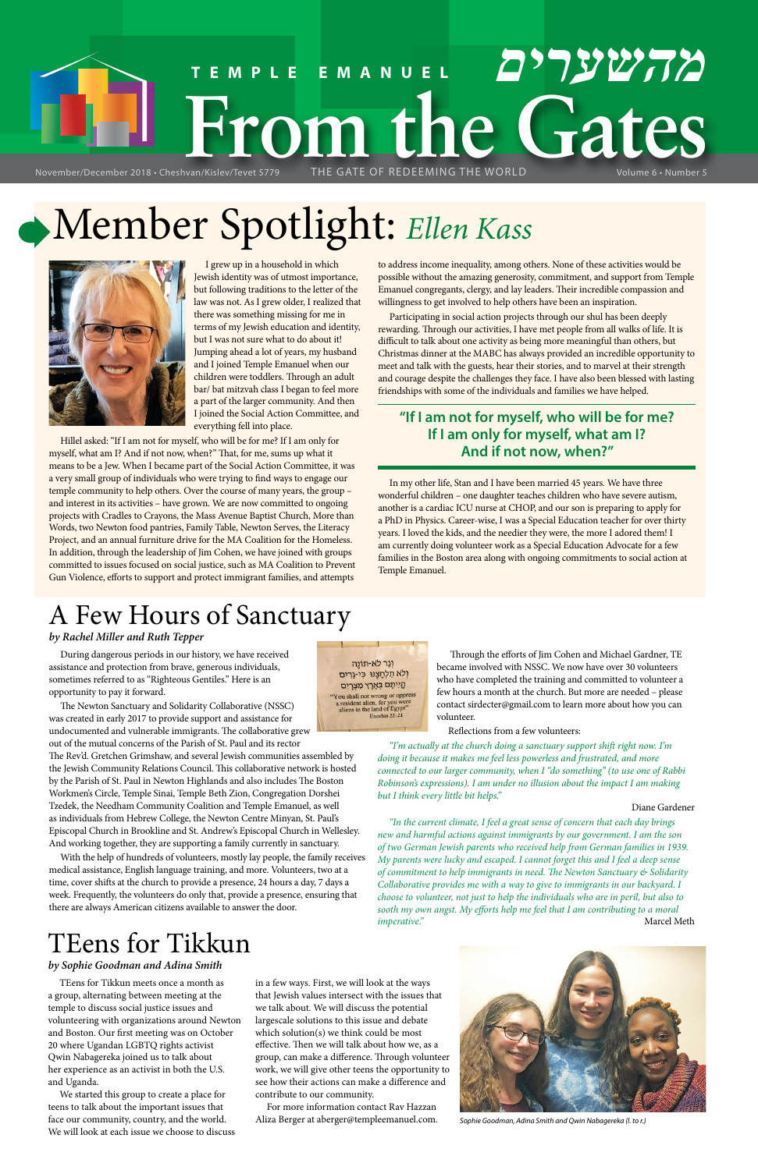# **FRACE SCRIPTION CONDUCTS TEMPLE EMANUEL מהשערים** November/December 2018 • Cheshvan/Kislev/Tevet 5779

# Member Spotlight: *Ellen Kass*



I grew up in a household in which Jewish identity was of utmost importance, but following traditions to the letter of the law was not. As I grew older, I realized that there was something missing for me in terms of my Jewish education and identity, but I was not sure what to do about it! Jumping ahead a lot of years, my husband and I joined Temple Emanuel when our children were toddlers. Through an adult bar/ bat mitzvah class I began to feel more a part of the larger community. And then I joined the Social Action Committee, and everything fell into place.

Hillel asked: "If I am not for myself, who will be for me? If I am only for myself, what am I? And if not now, when?" That, for me, sums up what it means to be a Jew. When I became part of the Social Action Committee, it was a very small group of individuals who were trying to find ways to engage our temple community to help others. Over the course of many years, the group – and interest in its activities – have grown. We are now committed to ongoing projects with Cradles to Crayons, the Mass Avenue Baptist Church, More than Words, two Newton food pantries, Family Table, Newton Serves, the Literacy Project, and an annual furniture drive for the MA Coalition for the Homeless. In addition, through the leadership of Jim Cohen, we have joined with groups committed to issues focused on social justice, such as MA Coalition to Prevent Gun Violence, efforts to support and protect immigrant families, and attempts

to address income inequality, among others. None of these activities would be possible without the amazing generosity, commitment, and support from Temple Emanuel congregants, clergy, and lay leaders. Their incredible compassion and willingness to get involved to help others have been an inspiration.

Participating in social action projects through our shul has been deeply rewarding. Through our activities, I have met people from all walks of life. It is difficult to talk about one activity as being more meaningful than others, but Christmas dinner at the MABC has always provided an incredible opportunity to meet and talk with the guests, hear their stories, and to marvel at their strength and courage despite the challenges they face. I have also been blessed with lasting friendships with some of the individuals and families we have helped.

# **"If I am not for myself, who will be for me? If I am only for myself, what am I? And if not now, when?"**

In my other life, Stan and I have been married 45 years. We have three wonderful children – one daughter teaches children who have severe autism, another is a cardiac ICU nurse at CHOP, and our son is preparing to apply for a PhD in Physics. Career-wise, I was a Special Education teacher for over thirty years. I loved the kids, and the needier they were, the more I adored them! I am currently doing volunteer work as a Special Education Advocate for a few families in the Boston area along with ongoing commitments to social action at Temple Emanuel.

# TEens for Tikkun

### *by Sophie Goodman and Adina Smith*

*"In the current climate, I feel a great sense of concern that each day brings new and harmful actions against immigrants by our government. I am the son of two German Jewish parents who received help from German families in 1939. My parents were lucky and escaped. I cannot forget this and I feel a deep sense of commitment to help immigrants in need. The Newton Sanctuary & Solidarity Collaborative provides me with a way to give to immigrants in our backyard. I choose to volunteer, not just to help the individuals who are in peril, but also to sooth my own angst. My efforts help me feel that I am contributing to a moral imperative.*" Marcel Meth

TEens for Tikkun meets once a month as a group, alternating between meeting at the temple to discuss social justice issues and volunteering with organizations around Newton and Boston. Our first meeting was on October 20 where Ugandan LGBTQ rights activist Qwin Nabagereka joined us to talk about her experience as an activist in both the U.S. and Uganda.

We started this group to create a place for teens to talk about the important issues that face our community, country, and the world. We will look at each issue we choose to discuss

in a few ways. First, we will look at the ways that Jewish values intersect with the issues that we talk about. We will discuss the potential largescale solutions to this issue and debate which solution(s) we think could be most effective. Then we will talk about how we, as a group, can make a difference. Through volunteer work, we will give other teens the opportunity to see how their actions can make a difference and contribute to our community.

For more information contact Rav Hazzan Aliza Berger at aberger@templeemanuel.com. *Sophie Goodman, Adina Smith and Qwin Nabagereka (l. to r.)*



# A Few Hours of Sanctuary

### *by Rachel Miller and Ruth Tepper*

During dangerous periods in our history, we have received assistance and protection from brave, generous individuals, sometimes referred to as "Righteous Gentiles." Here is an opportunity to pay it forward.

The Newton Sanctuary and Solidarity Collaborative (NSSC) was created in early 2017 to provide support and assistance for undocumented and vulnerable immigrants. The collaborative grew out of the mutual concerns of the Parish of St. Paul and its rector

The Rev'd. Gretchen Grimshaw, and several Jewish communities assembled by the Jewish Community Relations Council. This collaborative network is hosted by the Parish of St. Paul in Newton Highlands and also includes The Boston Workmen's Circle, Temple Sinai, Temple Beth Zion, Congregation Dorshei Tzedek, the Needham Community Coalition and Temple Emanuel, as well as individuals from Hebrew College, the Newton Centre Minyan, St. Paul's Episcopal Church in Brookline and St. Andrew's Episcopal Church in Wellesley. And working together, they are supporting a family currently in sanctuary.

With the help of hundreds of volunteers, mostly lay people, the family receives

וְגֵר לֹא-תוֹנֵה וְלֹא תִלְחָצֶנּוּ כִּי-גֵרִים קֵיִיתֶם בְּאֶרֶץ מִצְרָיִם You shall not wrong or oppress<br>a resident alien, for you were<br>aliens in the land of Egypt"<br>Exodus  $22:21$ 

medical assistance, English language training, and more. Volunteers, two at a time, cover shifts at the church to provide a presence, 24 hours a day, 7 days a week. Frequently, the volunteers do only that, provide a presence, ensuring that there are always American citizens available to answer the door.

 Through the efforts of Jim Cohen and Michael Gardner, TE became involved with NSSC. We now have over 30 volunteers who have completed the training and committed to volunteer a few hours a month at the church. But more are needed – please contact sirdecter@gmail.com to learn more about how you can volunteer.

Reflections from a few volunteers:

*"I'm actually at the church doing a sanctuary support shift right now. I'm doing it because it makes me feel less powerless and frustrated, and more connected to our larger community, when I "do something" (to use one of Rabbi Robinson's expressions). I am under no illusion about the impact I am making but I think every little bit helps."*

### Diane Gardener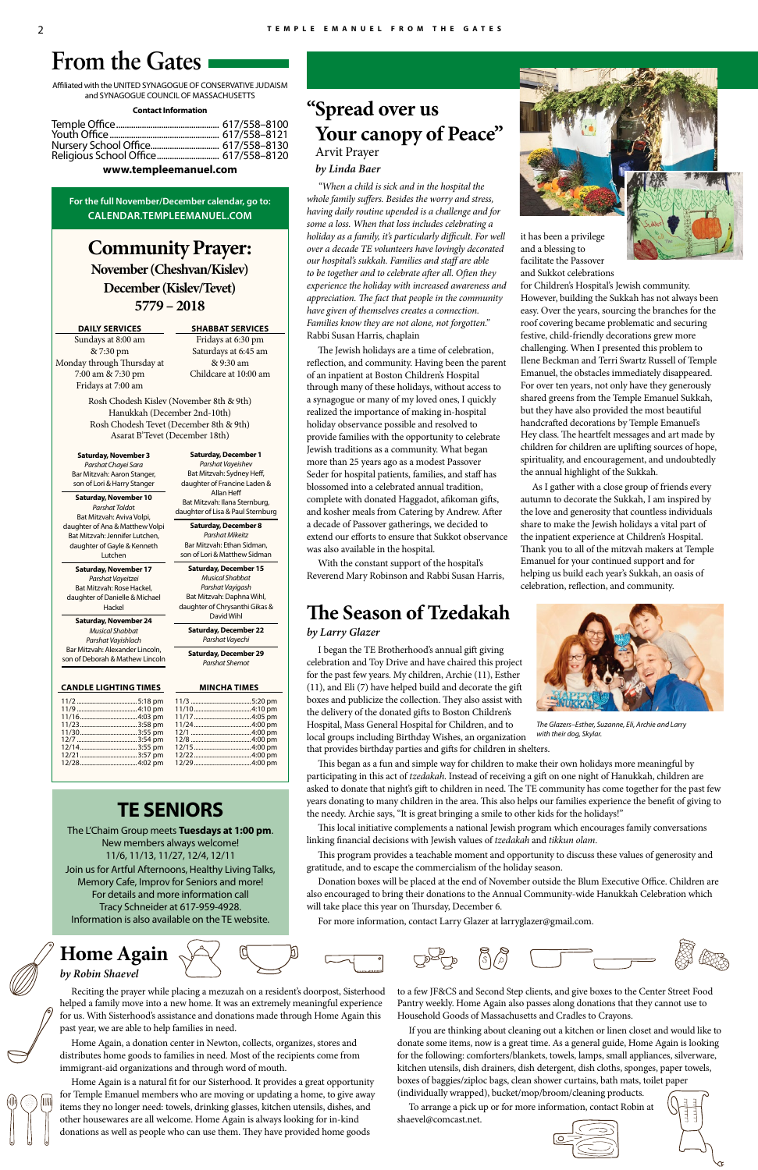**Home Again**



## *by Robin Shaevel*

Reciting the prayer while placing a mezuzah on a resident's doorpost, Sisterhood helped a family move into a new home. It was an extremely meaningful experience for us. With Sisterhood's assistance and donations made through Home Again this past year, we are able to help families in need.

Home Again, a donation center in Newton, collects, organizes, stores and distributes home goods to families in need. Most of the recipients come from immigrant-aid organizations and through word of mouth.

Home Again is a natural fit for our Sisterhood. It provides a great opportunity for Temple Emanuel members who are moving or updating a home, to give away items they no longer need: towels, drinking glasses, kitchen utensils, dishes, and other housewares are all welcome. Home Again is always looking for in-kind donations as well as people who can use them. They have provided home goods

to a few JF&CS and Second Step clients, and give boxes to the Center Street Food Pantry weekly. Home Again also passes along donations that they cannot use to Household Goods of Massachusetts and Cradles to Crayons.

If you are thinking about cleaning out a kitchen or linen closet and would like to donate some items, now is a great time. As a general guide, Home Again is looking for the following: comforters/blankets, towels, lamps, small appliances, silverware, kitchen utensils, dish drainers, dish detergent, dish cloths, sponges, paper towels, boxes of baggies/ziploc bags, clean shower curtains, bath mats, toilet paper (individually wrapped), bucket/mop/broom/cleaning products.

To arrange a pick up or for more information, contact Robin at shaevel@comcast.net.





# **TE SENIORS**

The L'Chaim Group meets **Tuesdays at 1:00 pm**. New members always welcome! 11/6, 11/13, 11/27, 12/4, 12/11

Join us for Artful Afternoons, Healthy Living Talks, Memory Cafe, Improv for Seniors and more! For details and more information call Tracy Schneider at 617-959-4928. Information is also available on the TE website.

**Community Prayer: November (Cheshvan/Kislev) December (Kislev/Tevet) 5779 – 2018**

**DAILY SERVICES**

Sundays at 8:00 am & 7:30 pm Monday through Thursday at 7:00 am & 7:30 pm Fridays at 7:00 am

### **SHABBAT SERVICES**

Fridays at 6:30 pm Saturdays at 6:45 am & 9:30 am Childcare at 10:00 am

Rosh Chodesh Kislev (November 8th & 9th) Hanukkah (December 2nd-10th) Rosh Chodesh Tevet (December 8th & 9th) Asarat B'Tevet (December 18th)

Affiliated with the UNITED SYNAGOGUE OF CONSERVATIVE JUDAISM and SYNAGOGUE COUNCIL OF MASSACHUSETTS

#### **Contact Information**

| Nursery School Office 617/558-8130   |  |
|--------------------------------------|--|
| Religious School Office 617/558-8120 |  |

### **www.templeemanuel.com**

**For the full November/December calendar, go to: CALENDAR.TEMPLEEMANUEL.COM**

# **From the Gates**

|  | 1            |
|--|--------------|
|  | 1            |
|  | 1            |
|  | 1            |
|  | 1            |
|  | 1            |
|  | 1            |
|  | 1            |
|  | $\mathbf{1}$ |
|  |              |

| 5:18 pm |  |
|---------|--|
| 4:10 pm |  |
| 4:03 pm |  |
| 3:58 pm |  |
| 3:55 pm |  |
| 3:54 pm |  |
| 3:55 pm |  |
| 3:57 pm |  |
| 4:02 pm |  |
|         |  |

**Saturday, November 3** *Parshat Chayei Sara* Bar Mitzvah: Aaron Stanger, son of Lori & Harry Stanger

**Saturday, November 10** *Parshat Toldo*t Bat Mitzvah: Aviva Volpi, daughter of Ana & Matthew Volpi Bat Mitzvah: Jennifer Lutchen, daughter of Gayle & Kenneth Lutchen

**Saturday, November 17** *Parshat Vayeitzei* Bat Mitzvah: Rose Hackel, daughter of Danielle & Michael Hackel

**Saturday, November 24** *Musical Shabbat Parshat Vayishlach* Bar Mitzvah: Alexander Lincoln, son of Deborah & Mathew Lincoln

### **CANDLE LIGHTING TIMES MINCHA TIMES**

### **Saturday, December 1** *Parshat Vayeishev*

Bat Mitzvah: Sydney Heff, daughter of Francine Laden & Allan Heff Bat Mitzvah: Ilana Sternburg, daughter of Lisa & Paul Sternburg

**Saturday, December 8** *Parshat Mikeitz* Bar Mitzvah: Ethan Sidman, son of Lori & Matthew Sidman

**Saturday, December 15** *Musical Shabbat Parshat Vayigash* Bat Mitzvah: Daphna Wihl, daughter of Chrysanthi Gikas &

David Wihl **Saturday, December 22** *Parshat Vayechi*

**Saturday, December 29** *Parshat Shemot*

# **"Spread over us Your canopy of Peace"**  Arvit Prayer

*by Linda Baer*

*"When a child is sick and in the hospital the whole family suffers. Besides the worry and stress, having daily routine upended is a challenge and for some a loss. When that loss includes celebrating a holiday as a family, it's particularly difficult. For well over a decade TE volunteers have lovingly decorated our hospital's sukkah. Families and staff are able to be together and to celebrate after all. Often they experience the holiday with increased awareness and appreciation. The fact that people in the community have given of themselves creates a connection. Families know they are not alone, not forgotten."*  Rabbi Susan Harris, chaplain

The Jewish holidays are a time of celebration, reflection, and community. Having been the parent of an inpatient at Boston Children's Hospital through many of these holidays, without access to a synagogue or many of my loved ones, I quickly realized the importance of making in-hospital holiday observance possible and resolved to provide families with the opportunity to celebrate Jewish traditions as a community. What began more than 25 years ago as a modest Passover Seder for hospital patients, families, and staff has blossomed into a celebrated annual tradition, complete with donated Haggadot, afikoman gifts, and kosher meals from Catering by Andrew. After a decade of Passover gatherings, we decided to extend our efforts to ensure that Sukkot observance was also available in the hospital.

With the constant support of the hospital's Reverend Mary Robinson and Rabbi Susan Harris, it has been a privilege and a blessing to facilitate the Passover and Sukkot celebrations

for Children's Hospital's Jewish community. However, building the Sukkah has not always been easy. Over the years, sourcing the branches for the roof covering became problematic and securing festive, child-friendly decorations grew more challenging. When I presented this problem to Ilene Beckman and Terri Swartz Russell of Temple Emanuel, the obstacles immediately disappeared. For over ten years, not only have they generously shared greens from the Temple Emanuel Sukkah, but they have also provided the most beautiful handcrafted decorations by Temple Emanuel's Hey class. The heartfelt messages and art made by children for children are uplifting sources of hope, spirituality, and encouragement, and undoubtedly the annual highlight of the Sukkah.

As I gather with a close group of friends every autumn to decorate the Sukkah, I am inspired by the love and generosity that countless individuals share to make the Jewish holidays a vital part of the inpatient experience at Children's Hospital. Thank you to all of the mitzvah makers at Temple Emanuel for your continued support and for helping us build each year's Sukkah, an oasis of celebration, reflection, and community.

# **The Season of Tzedakah**

### *by Larry Glazer*

I began the TE Brotherhood's annual gift giving celebration and Toy Drive and have chaired this project for the past few years. My children, Archie (11), Esther (11), and Eli (7) have helped build and decorate the gift boxes and publicize the collection. They also assist with the delivery of the donated gifts to Boston Children's

Hospital, Mass General Hospital for Children, and to local groups including Birthday Wishes, an organization that provides birthday parties and gifts for children in shelters.

This began as a fun and simple way for children to make their own holidays more meaningful by participating in this act of *tzedakah*. Instead of receiving a gift on one night of Hanukkah, children are asked to donate that night's gift to children in need. The TE community has come together for the past few years donating to many children in the area. This also helps our families experience the benefit of giving to the needy. Archie says, "It is great bringing a smile to other kids for the holidays!"

This local initiative complements a national Jewish program which encourages family conversations linking financial decisions with Jewish values of *tzedakah* and *tikkun olam*.

This program provides a teachable moment and opportunity to discuss these values of generosity and

gratitude, and to escape the commercialism of the holiday season.



Donation boxes will be placed at the end of November outside the Blum Executive Office. Children are

also encouraged to bring their donations to the Annual Community-wide Hanukkah Celebration which will take place this year on Thursday, December 6. For more information, contact Larry Glazer at larryglazer@gmail.com.





*The Glazers–Esther, Suzanne, Eli, Archie and Larry with their dog, Skylar.*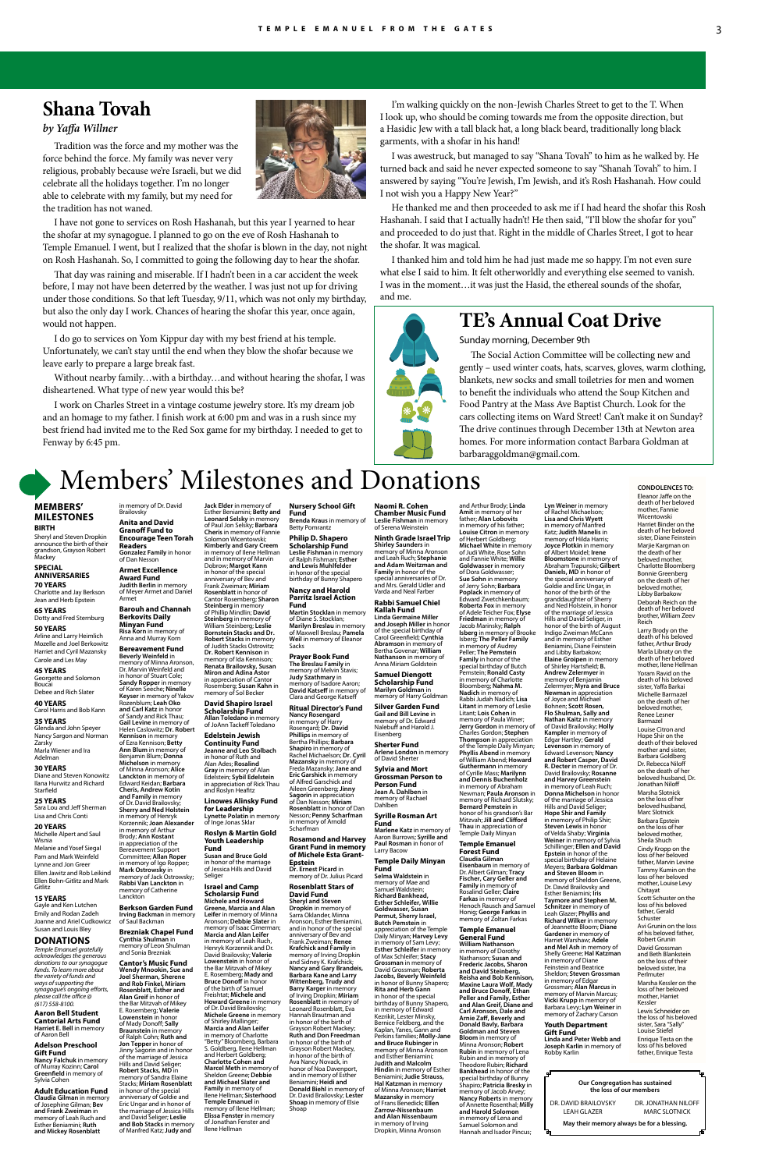# Members' Milestones and Donations

#### **MEMBERS' MILESTONES BIRTH**

Sheryl and Steven Dropkin announce the birth of their grandson, Grayson Robert Mackey

#### **SPECIAL ANNIVERSARIES 70 YEARS**

Charlotte and Jay Berkson Jean and Herb Epstein

#### **65 YEARS** Dotty and Fred Sternburg

**50 YEARS** Arline and Larry Heimlich Mozelle and Joel Berkowitz

Harriet and Cyril Mazansky Carole and Les May

#### **45 YEARS** Georgette and Solomon Boucai Debee and Rich Slater

**40 YEARS** Carol Harris and Bob Kann

# **35 YEARS** Glenda and John Speyer

Nancy Sargon and Norman Zarsky Marla Wiener and Ira Adelman

### **30 YEARS**

Diane and Steven Konowitz Ilana Hurwitz and Richard Starfield

#### **25 YEARS** Sara Lou and Jeff Sherman

Lisa and Chris Conti **20 YEARS**

#### Michelle Alpert and Saul Wisnia

Melanie and Yosef Siegal Pam and Mark Weinfeld

Lynne and Jon Greer Ellen Jawitz and Rob Leikind Ellen Bohn-Gitlitz and Mark Gitlitz

### **15 YEARS**

Gayle and Ken Lutchen Emily and Rodan Zadeh Joanne and Ariel Cudkowicz Susan and Louis Bley

### **DONATIONS**

*Temple Emanuel gratefully acknowledges the generous donations to our synagogue funds. To learn more about the variety of funds and ways of supporting the synagogue's ongoing efforts, please call the office @ (617) 558-8100.*

#### **Aaron Bell Student Cantorial Arts Fund Harriet E. Bell** in memory of Aaron Bell

#### **Adelson Preschool Gift Fund**

**Nancy Falchuk** in memory of Murray Kozinn; **Carol Greenfield** in memory of Sylvia Cohen

## **Greene, Marcia and Alan Leifer** in memory of Minna Aronson; **Debbie Slater** in memory of Isaac Cimerman

#### **Adult Education Fund Claudia Gilman** in memory of Josephine Gilman; **Bev and Frank Zweiman** in memory of Leah Ruch and Esther Beniamini; **Ruth and Mickey Rosenblatt**

in honor of the special anniversary of Bev and Frank Zweiman; **Miriam Rosenblatt** in honor of Cantor Rosemberg; **Sharon Steinberg** in memory of Phillip Mindlin; **David Steinberg** in memory of William Steinberg; **Leslie** 

**Bornstein Stacks and Dr. Robert Stacks** in memory of Judith Stacks Ostrovitz;

**Ritual Director's Fund Nancy Rosengard** in memory of Harry Rosengard; **Dr. David Phillips** in memory of Bertha Phillips; **Barbara Shapiro** in memory of Rachel Michaelson; **Dr. Cyril Mazansky** in memory of Freda Mazansky; **Jane and Eric Garshick** in memory of Alfred Garschick and Aileen Greenberg; **Jinny Sagorin** in appreciation of Dan Nesson; **Miriam Rosenblatt** in honor of Dan Nesson; **Penny Scharfman**<br>in memory of Arnold<br>Scharfman

Esther Beniamini; **Betty and Leonard Selsky** in memory of Paul Jon Selsky; **Barbara Nursery School Gift Fund Brenda Kraus** in memory of Betty Pomrantz

**Susan and Bruce Gold**

# **Israel and Camp**

**Scholarsip Fund Michele and Howard** 

**Marcia and Alan Leifer** in memory of Leah Ruch,

Henryk Korzennik and Dr. David Brailovsky; **Valerie Lowenstein** in honor of the Bar Mitzvah of Mikey E. Rosemberg; **Mady and Bruce Donoff** in honor of the birth of Samuel Freishtat; **Michele and Howard Greene** in memory of Dr. David Brailovsky; **Michele Greene** in memory of Shirley Mallinger; **Marcia and Alan Leifer** in memory of Charlotte "Betty" Bloomberg, Barbara S. Goldberg, Ilene Hellman and Herbert Goldberg; **Charlotte Cohen and Marcel Meth** in memory of Sheldon Greene; **Debbie and Michael Slater and Family** in memory of Ilene Hellman; **Sisterhood Temple Emanuel** in memory of Ilene Hellman; **Elissa Fenster** in memory of Jonathan Fenster and Ilene Hellman

**Philip D. Shapero Scholarship Fund Leslie Fishman** in memory of Ralph Fishman; **Esther and Lewis Muhlfelder** in honor of the special birthday of Bunny Shapero

**Nancy and Harold Parritz Israel Action Fund**

**Martin Stocklan** in memory of Diane S. Stocklan; **Marilyn Breslau** in memory of Maxwell Breslau; **Pamela Weil** in memory of Eleanor Sacks

**Prayer Book Fund The Breslau Family** in memory of Melvin Stavis; **Judy Szathmary** in memory of Isadore Aaron; **David Katseff** in memory of Clara and George Katseff

**Rosamond and Harvey Grant Fund in memory of Michele Esta Grant-**

#### **Epstein Dr. Ernest Picard** in memory of Dr. Julius Picard

**Rosenblatt Stars of David Fund Sheryl and Steven Dropkin** in memory of Sarra Oklander, Minna Aronson, Esther Beniamini, and in honor of the special anniversary of Bev and Frank Zweiman; **Renee Krafchick and Family** in memory of Irving Dropkin and Sidney K. Krafchick; **Nancy and Gary Brandeis, Barbara Kane and Larry Wittenberg, Trudy and Barry Karger** in memory of Irving Dropkin; **Miriam Rosenblatt** in memory of Leonard Rosenblatt, Eva Hannah Brautman and in honor of the birth of Grayson Robert Mackey; **Ruth and Don Freedman** in honor of the birth of Grayson Robert Mackey, in honor of the birth of Ava Nancy Novack, in honor of Noa Davenport, and in memory of Esther Beniamini; **Heidi and Donald Biehl** in memory of Dr. David Brailovsky; **Lester Shoap** in memory of Elsie Shoap

**Naomi R. Cohen Chamber Music Fund Leslie Fishman** in memory of Serena Weinstein

**Ninth Grade Israel Trip Shirley Saunders** in memory of Minna Aronson and Leah Ruch; **Stephanie and Adam Weitzman and Family** in honor of the special anniversaries of Dr. and Mrs. Gerald Udler and Varda and Neal Farber

#### **Rabbi Samuel Chiel Kallah Fund Linda Germaine Miller and Joseph Miller** in honor of the special birthday of

Carol Greenfield; **Cynthia Abramson** in memory of Bertha Govenar; **William Nathanson** in memory of Anna Miriam Goldstein **Samuel Diengott** 

**Scholarship Fund Marilyn Goldman** in memory of Harry Goldman

**Silver Garden Fund Gail and Bill Levine** in memory of Dr. Edward Nalebuff and Harold J. Eisenberg

**Sherter Fund Arlene London** in memory of David Sherter

**Sylvia and Mort Grossman Person to Person Fund Jean A. Dahlben** in memory of Rachael Dahlben

**Syrille Rosman Art Fund Marlene Katz** in memory of

Aaron Burrows; **Syrille and Paul Rosman** in honor of

Larry Bacow

#### **Temple Daily Minyan Fund Selma Waldstein** in

**Jack Elder** in memory of **Cheris** in memory of Fannie Solomon Wicentowski; **Kimberly and Gary Creem** in memory of Ilene Hellman and in memory of Marvin Dobrow; **Margot Kann** in memory of Dr. David **Brailovsky Anita and David Granoff Fund to Encourage Teen Torah Readers Gonzalez Family** in honor of Dan Nesson **Armet Excellence** 

> memory of Mae and Samuel Waldstein; **Richard Bankhead, Esther Schleifer, Willie Goldwasser, Susan Permut, Sherry Israel, Butch Pemstein** in appreciation of the Temple Daily Minyan; **Harvey Levy** in memory of Sam Levy; **Esther Schleifer** in memory of Max Schleifer; **Stacy Grossman** in memory of David Grossman; **Roberta Jacobs, Beverly Weinfeld** in honor of Bunny Shapero; **Rita and Herb Gann** in honor of the special birthday of Bunny Shapero, in memory of Edward Kezrikit, Lester Minsky, Bernice Feldberg, and the Kaplan, Yanes, Gann and Perkins families; **Molly-Jane and Bruce Rubinger** in memory of Minna Aronson and Esther Beniamini; **Judith and Malcolm Hindin** in memory of Esther Beniamini; **Judie Strauss, Hal Katzman** in memory of Minna Aronson; **Harriet Mazansky** in memory of Frans Benedick; **Ellen Zarrow-Nissenbaum and Alan Nissenbaum** in memory of Irving Dropkin, Minna Aronson

**Dr. Robert Kennison** in memory of Ida Kennison; **Renata Brailovsky, Susan Miron and Adina Astor**  in appreciation of Cantor Rosemberg; **Susan Kahn** in memory of Sol Becker **David Shapiro Israel Scholarship Fund Allan Toledano** in memory of JoAnn Tackeff Toledano **Edelstein Jewish Continuity Fund Jeanne and Leo Stolbach** in honor of Ruth and Alan Ades; **Rosalind Beverly Weinfeld** in memory of Minna Aronson, Dr. Marvin Weinfeld and in honor of Stuart Cole; **Sandy Ropper** in memory of Karen Seeche; **Ninelle Keyser** in memory of Yakov Rozenblum; **Leah Oko and Carl Katz** in honor of Sandy and Rick Thau; **Gail Levine** in memory of Helen Caslowitz; **Dr. Robert Kennison** in memory of Ezra Kennison; **Betty Ann Blum** in memory of Benjamin Blum; **Donna Michelson** in memory of Minna Aronson; **Alice** 

**Gray** in memory of Alan Edelstein; **Sybil Edelstein** in appreciation of Rick Thau and Roslyn Heafitz **Linowes Alinsky Fund for Leadership Lynette Polatin** in memory of Inge Jonas Sklar **Roslyn & Martin Gold Youth Leadership Fund Lanckton** in memory of Edward Keidan; **Barbara Cheris, Andrew Kotin and Family** in memory of Dr. David Brailovsky; **Sherry and Ned Holstein** in memory of Henryk Korzennik; **Joan Alexander** in memory of Arthur Brody; **Ann Kostant** in appreciation of the Bereavement Support Committee; **Allan Roper** 

and Arthur Brody; **Linda Amit** in memory of her father; **Alan Lobovits** in memory of his father; **Louise Citron** in memory of Herbert Goldberg; **Michael White** in memory of Judi White, Rose Sohn and Fannie White; **Willie Goldwasser** in memory of Dora Goldwasser; **Sue Sohn** in memory of Jerry Sohn; **Barbara Poplack** in memory of Edward Zwetchkenbaum; **Roberta Fox** in memory of Adele Teicher Fox; **Elyse Friedman** in memory of Jacob Marinsky; **Ralph Isberg** in memory of Brooke Isberg; **The Peller Family** in memory of Audrey Peller; **The Pemstein Family** in honor of the special birthday of Butch Pemstein; **Ronald Casty** in memory of Charlotte Bloomberg; **Nahma M. Nadich** in memory of Rabbi Judah Nadich; **Lisa Litant** in memory of Leslie Litant; **Lois Cohen** in memory of Paula Winer; **Jerry Gordon** in memory of Charles Gordon; **Stephen Thompson** in appreciation of the Temple Daily Minyan; **Phyllis Abend** in memory of William Abend; **Howard Guthermann** in memory of Cyrille Mass; **Marilynn and Dennis Buchenholz** in memory of Abraham Newman; **Paula Aronson** in memory of Richard Slutsky; **Bernard Pemstein** in honor of his grandson's Bar Mitzvah; **Jill and Clifford Thau** in appreciation of Temple Daily Minyan

**Temple Emanuel Forest Fund**

**Claudia Gilman Eisenbaum** in memory of Dr. Albert Gilman; **Tracy Fischer, Cary Geller and Family** in memory of Rosalind Geller; **Claire Farkas** in memory of Henoch Rausch and Samuel Honig; **George Farkas** in memory of Zoltan Farkas

#### **Temple Emanuel General Fund**

**William Nathanson** in memory of Dorothy Nathanson; **Susan and Frederic Jacobs, Sharon and David Steinberg, Reisha and Bob Kennison, Maxine Laura Wolf, Mady and Bruce Donoff, Ethan Peller and Family, Esther and Alan Greif, Diane and Carl Aronson, Dale and Arnie Zaff, Beverly and Donald Bavly, Barbara Goldman and Steven Bloom** in memory of Minna Aronson; **Robert Rubin** in memory of Lena Rubin and in memory of Theodore Rubin; **Richard Bankhead** in honor of the special birthday of Bunny Shapiro; **Patricia Bresky** in memory of Jacob Arvey; **Nancy Roberts** in memory of Annette Rosenthal; **Milly and Harold Solomon** in memory of Lena and Samuel Solomon and Hannah and Isador Pincus;

**Lyn Weiner** in memory of Rachel Michaelson; **Lisa and Chris Wyett** in memory of Manfred Katz; **Judith Manelis** in memory of Hilda Harris; **Joyce Plotkin** in memory of Albert Moidel; **Irene Bloomstone** in memory of Abraham Trapunski; **Gilbert Daniels, MD** in honor of the special anniversary of Goldie and Eric Ungar, in honor of the birth of the granddaughter of Sherry and Ned Holstein, in honor of the marriage of Jessica Hills and David Seliger, in honor of the birth of August Indigo Zweiman McCann and in memory of Esther Beniamini, Diane Feinstein and Libby Barbakow; **Elaine Groipen** in memory of Shirley Hartsfield; **B. Andrew Zelermyer** in memory of Benjamin Zelermyer; **Myra and Bruce Newman** in appreciation of Joyce and Michael Bohnen; **Scott Rosen, Flo Shulman, Sally and Nathan Kaitz** in memory of David Brailovsky; **Holly Kampler** in memory of Edgar Hartley; **Gerald Levenson** in memory of Edward Levenson; **Nancy and Robert Casper, David R. Decter** in memory of Dr. David Brailovsky; **Rosanne and Harvey Greenstein** in memory of Leah Ruch; **Donna Michelson** in honor of the marriage of Jessica Hills and David Seliger; **Hope Shir and Family** in memory of Philip Shir; **Steven Lewis** in honor of Velda Shaby; **Virginia Weiner** in memory of Sylvia Schillinger; **Ellen and David** 

**Epstein** in honor of the

special birthday of Helaine Meyers; **Barbara Goldman and Steven Bloom** in memory of Sheldon Greene, Dr. David Brailovsky and<br>Esther Benjamini: Iris Esther Beniamini; **Iris Taymore and Stephen M. Schnitzer** in memory of Leah Glazer; **Phyllis and Richard Wilker** in memory of Jeannette Bloom; **Diane Gardener** in memory of Harriet Warshaw; **Adele and Mel Ash** in memory of Shelly Greene; **Hal Katzman** in memory of Diane Feinstein and Beatrice Sheldon; **Steven Grossman** in memory of Edgar Grossman; **Alan Marcus** in memory of Marvin Marcus;<br>**Vicki Krupp** in memory of<br>Barbara Levy; **Lyn Weiner** in memory of Zachary Carson **Youth Department** 

**Gift Fund Linda and Peter Webb and Joseph Karlin** in memory of Robby Karlin

# **Award Fund Judith Berlin** in memory

of Meyer Armet and Daniel Armet **Barouh and Channah Berkovits Daily** 

#### **Minyan Fund Risa Korn** in memory of Anna and Murray Korn

**Bereavement Fund**

in memory of Igo Ropper; **Mark Ostrowsky** in memory of Jack Ostrowsky; **Rabbi Van Lanckton** in memory of Catherine Lanckton

# **Berkson Garden Fund**

**Irving Backman** in memory of Saul Backman

#### **Brezniak Chapel Fund Cynthia Shulman** in memory of Leon Shulman

and Sonia Brezniak **Cantor's Music Fund Wendy Mnookin, Sue and Joel Sherman, Sherene and Rob Finkel, Miriam Rosenblatt, Esther and Alan Greif** in honor of the Bar Mitzvah of Mikey E. Rosemberg; **Valerie Lowenstein** in honor of Mady Donoff; **Sally Braunstein** in memory of Ralph Cohn; **Ruth and Jon Tepper** in honor of Jinny Sagorin and in honor of the marriage of Jessica Hills and David Seliger; **Robert Stacks, MD** in memory of Sandra Elaine Stacks; **Miriam Rosenblatt** in honor of the special anniversary of Goldie and Eric Ungar and in honor of the marriage of Jessica Hills and David Seliger; **Leslie and Bob Stacks** in memory of Manfred Katz; **Judy and** 

#### in honor of the marriag of Jessica Hills and David Seliger



**CONDOLENCES TO:** Eleanor Jaffe on the death of her beloved mother, Fannie Wicentowski Harriet Binder on the death of her beloved sister, Diane Feinstein Marjie Kargman on

the death of her beloved mother, Charlotte Bloomberg Bonnie Greenberg on the death of her beloved mother, Libby Barbakow Deborah Reich on the death of her beloved brother, William Zeev Reich Larry Brody on the death of his beloved father, Arthur Brody Marla Libraty on the death of her beloved mother, Ilene Hellman Yoram Ravid on the death of his beloved sister, Yaffa Barkai Michelle Barmazel on the death of her beloved mother, Renee Lesner Barmazel Louise Citron and Hope Shir on the death of their beloved mother and sister, Barbara Goldberg Dr. Rebecca Niloff on the death of he beloved husband, Dr. Jonathan Niloff Marsha Slotnick on the loss of her<br>beloved husband, Marc Slotnick Barbara Epstein on the loss of her beloved mother, Sheila Shuch Cindy Kropp on the loss of her beloved father, Marvin Levine Tammy Kumin on the loss of her beloved mother, Louise Levy Chitayat Scott Schuster on the loss of his beloved father, Gerald Schuster Avi Grunin on the loss of his beloved father, Robert Grunin David Grossman and Beth Blankstein on the loss of their beloved sister, Ina Perlmuter Marsha Kessler on the

loss of her beloved mother, Harriet Kessler

Lewis Schneider on the loss of his beloved sister, Sara "Sally" Louise Stiefel

Enrique Testa on the loss of his beloved father, Enrique Testa

# **Shana Tovah**

### *by Yaffa Willner*

Tradition was the force and my mother was the force behind the force. My family was never very religious, probably because we're Israeli, but we did celebrate all the holidays together. I'm no longer able to celebrate with my family, but my need for the tradition has not waned.



I have not gone to services on Rosh Hashanah, but this year I yearned to hear the shofar at my synagogue. I planned to go on the eve of Rosh Hashanah to Temple Emanuel. I went, but I realized that the shofar is blown in the day, not night on Rosh Hashanah. So, I committed to going the following day to hear the shofar.

That day was raining and miserable. If I hadn't been in a car accident the week before, I may not have been deterred by the weather. I was just not up for driving under those conditions. So that left Tuesday, 9/11, which was not only my birthday, but also the only day I work. Chances of hearing the shofar this year, once again, would not happen.

I do go to services on Yom Kippur day with my best friend at his temple. Unfortunately, we can't stay until the end when they blow the shofar because we leave early to prepare a large break fast.

Without nearby family…with a birthday…and without hearing the shofar, I was disheartened. What type of new year would this be?

I work on Charles Street in a vintage costume jewelry store. It's my dream job and an homage to my father. I finish work at 6:00 pm and was in a rush since my best friend had invited me to the Red Sox game for my birthday. I needed to get to Fenway by 6:45 pm.

I'm walking quickly on the non-Jewish Charles Street to get to the T. When I look up, who should be coming towards me from the opposite direction, but a Hasidic Jew with a tall black hat, a long black beard, traditionally long black garments, with a shofar in his hand!

I was awestruck, but managed to say "Shana Tovah" to him as he walked by. He turned back and said he never expected someone to say "Shanah Tovah" to him. I answered by saying "You're Jewish, I'm Jewish, and it's Rosh Hashanah. How could I not wish you a Happy New Year?"

He thanked me and then proceeded to ask me if I had heard the shofar this Rosh Hashanah. I said that I actually hadn't! He then said, "I'll blow the shofar for you" and proceeded to do just that. Right in the middle of Charles Street, I got to hear the shofar. It was magical.

I thanked him and told him he had just made me so happy. I'm not even sure what else I said to him. It felt otherworldly and everything else seemed to vanish. I was in the moment…it was just the Hasid, the ethereal sounds of the shofar, and me.



# **TE's Annual Coat Drive**

Sunday morning, December 9th

The Social Action Committee will be collecting new and gently – used winter coats, hats, scarves, gloves, warm clothing, blankets, new socks and small toiletries for men and women to benefit the individuals who attend the Soup Kitchen and Food Pantry at the Mass Ave Baptist Church. Look for the cars collecting items on Ward Street! Can't make it on Sunday? The drive continues through December 13th at Newton area homes. For more information contact Barbara Goldman at barbaraggoldman@gmail.com.